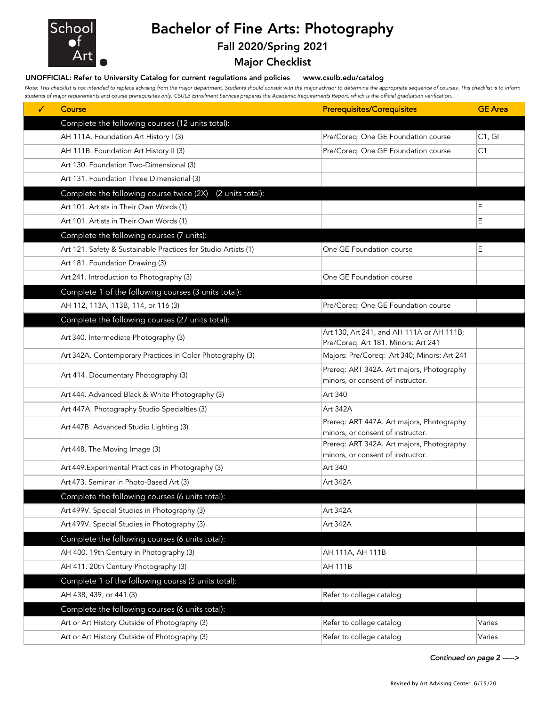

## Bachelor of Fine Arts: Photography

### Fall 2020/Spring 2021

### Major Checklist

#### UNOFFICIAL: Refer to University Catalog for current regulations and policies www.csulb.edu/catalog

*Note: This checklist is not intended to replace advising from the major department. Students should consult with the major advisor to determine the appropriate sequence of courses. This checklist is to inform students of major requirements and course prerequisites only. CSULB Enrollment Services prepares the Academic Requirements Report, which is the official graduation verification.*

| ✓ | Course                                                         | <b>Prerequisites/Corequisites</b>                                                | <b>GE</b> Area |
|---|----------------------------------------------------------------|----------------------------------------------------------------------------------|----------------|
|   | Complete the following courses (12 units total):               |                                                                                  |                |
|   | AH 111A. Foundation Art History I (3)                          | Pre/Coreq: One GE Foundation course                                              | C1, G1         |
|   | AH 111B. Foundation Art History II (3)                         | Pre/Coreq: One GE Foundation course                                              | C1             |
|   | Art 130. Foundation Two-Dimensional (3)                        |                                                                                  |                |
|   | Art 131. Foundation Three Dimensional (3)                      |                                                                                  |                |
|   | Complete the following course twice (2X)<br>(2 units total):   |                                                                                  |                |
|   | Art 101. Artists in Their Own Words (1)                        |                                                                                  | E              |
|   | Art 101. Artists in Their Own Words (1)                        |                                                                                  | Е              |
|   | Complete the following courses (7 units):                      |                                                                                  |                |
|   | Art 121. Safety & Sustainable Practices for Studio Artists (1) | One GE Foundation course                                                         | E              |
|   | Art 181. Foundation Drawing (3)                                |                                                                                  |                |
|   | Art 241. Introduction to Photography (3)                       | One GE Foundation course                                                         |                |
|   | Complete 1 of the following courses (3 units total):           |                                                                                  |                |
|   | AH 112, 113A, 113B, 114, or 116 (3)                            | Pre/Coreq: One GE Foundation course                                              |                |
|   | Complete the following courses (27 units total):               |                                                                                  |                |
|   | Art 340. Intermediate Photography (3)                          | Art 130, Art 241, and AH 111A or AH 111B;<br>Pre/Coreq: Art 181. Minors: Art 241 |                |
|   | Art 342A. Contemporary Practices in Color Photography (3)      | Majors: Pre/Coreq: Art 340; Minors: Art 241                                      |                |
|   | Art 414. Documentary Photography (3)                           | Prereq: ART 342A. Art majors, Photography<br>minors, or consent of instructor.   |                |
|   | Art 444. Advanced Black & White Photography (3)                | Art 340                                                                          |                |
|   | Art 447A. Photography Studio Specialties (3)                   | Art 342A                                                                         |                |
|   | Art 447B. Advanced Studio Lighting (3)                         | Prereq: ART 447A. Art majors, Photography<br>minors, or consent of instructor.   |                |
|   | Art 448. The Moving Image (3)                                  | Prereq: ART 342A. Art majors, Photography<br>minors, or consent of instructor.   |                |
|   | Art 449. Experimental Practices in Photography (3)             | Art 340                                                                          |                |
|   | Art 473. Seminar in Photo-Based Art (3)                        | Art 342A                                                                         |                |
|   | Complete the following courses (6 units total):                |                                                                                  |                |
|   | Art 499V. Special Studies in Photography (3)                   | Art 342A                                                                         |                |
|   | Art 499V. Special Studies in Photography (3)                   | Art 342A                                                                         |                |
|   | Complete the following courses (6 units total):                |                                                                                  |                |
|   | AH 400. 19th Century in Photography (3)                        | AH 111A, AH 111B                                                                 |                |
|   | AH 411. 20th Century Photography (3)                           | AH 111B                                                                          |                |
|   | Complete 1 of the following courss (3 units total):            |                                                                                  |                |
|   | AH 438, 439, or 441 (3)                                        | Refer to college catalog                                                         |                |
|   | Complete the following courses (6 units total):                |                                                                                  |                |
|   | Art or Art History Outside of Photography (3)                  | Refer to college catalog                                                         | Varies         |
|   | Art or Art History Outside of Photography (3)                  | Refer to college catalog                                                         | Varies         |

*Continued on page 2 ----->*